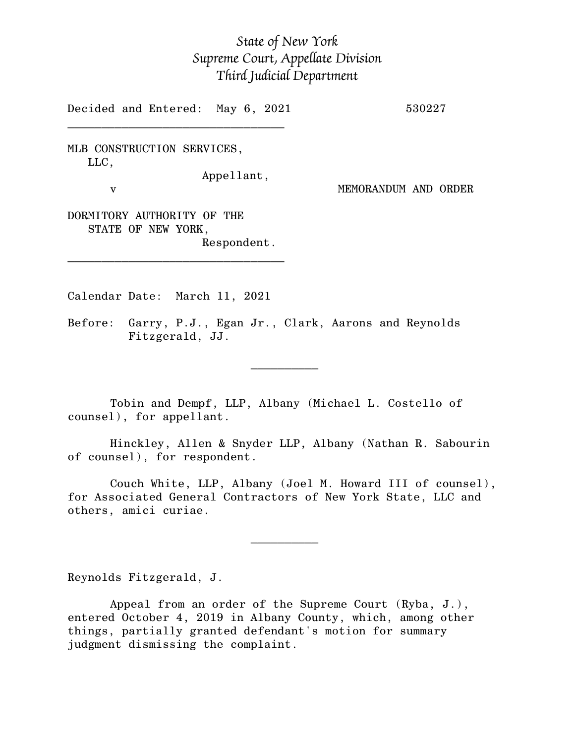## *State of New York Supreme Court, Appellate Division Third Judicial Department*

Decided and Entered: May 6, 2021 530227

 $\mathcal{L}_\text{max}$ 

MLB CONSTRUCTION SERVICES, LLC, Appellant,

v MEMORANDUM AND ORDER

DORMITORY AUTHORITY OF THE STATE OF NEW YORK, Respondent.

\_\_\_\_\_\_\_\_\_\_\_\_\_\_\_\_\_\_\_\_\_\_\_\_\_\_\_\_\_\_\_\_

 $\mathcal{L}_\text{max}$  and  $\mathcal{L}_\text{max}$  are the set of  $\mathcal{L}_\text{max}$  . The set of  $\mathcal{L}_\text{max}$ 

 $\mathcal{L}_\text{max}$  and  $\mathcal{L}_\text{max}$  are the set of  $\mathcal{L}_\text{max}$  . The set of  $\mathcal{L}_\text{max}$ 

Calendar Date: March 11, 2021

Before: Garry, P.J., Egan Jr., Clark, Aarons and Reynolds Fitzgerald, JJ.

Tobin and Dempf, LLP, Albany (Michael L. Costello of counsel), for appellant.

Hinckley, Allen & Snyder LLP, Albany (Nathan R. Sabourin of counsel), for respondent.

Couch White, LLP, Albany (Joel M. Howard III of counsel), for Associated General Contractors of New York State, LLC and others, amici curiae.

Reynolds Fitzgerald, J.

Appeal from an order of the Supreme Court (Ryba, J.), entered October 4, 2019 in Albany County, which, among other things, partially granted defendant's motion for summary judgment dismissing the complaint.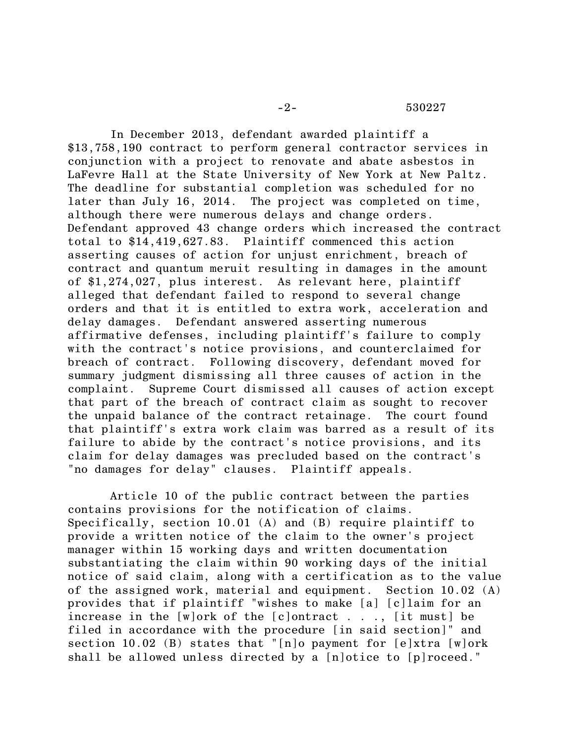In December 2013, defendant awarded plaintiff a \$13,758,190 contract to perform general contractor services in conjunction with a project to renovate and abate asbestos in LaFevre Hall at the State University of New York at New Paltz. The deadline for substantial completion was scheduled for no later than July 16, 2014. The project was completed on time, although there were numerous delays and change orders. Defendant approved 43 change orders which increased the contract total to \$14,419,627.83. Plaintiff commenced this action asserting causes of action for unjust enrichment, breach of contract and quantum meruit resulting in damages in the amount of \$1,274,027, plus interest. As relevant here, plaintiff alleged that defendant failed to respond to several change orders and that it is entitled to extra work, acceleration and delay damages. Defendant answered asserting numerous affirmative defenses, including plaintiff's failure to comply with the contract's notice provisions, and counterclaimed for breach of contract. Following discovery, defendant moved for summary judgment dismissing all three causes of action in the complaint. Supreme Court dismissed all causes of action except that part of the breach of contract claim as sought to recover the unpaid balance of the contract retainage. The court found that plaintiff's extra work claim was barred as a result of its failure to abide by the contract's notice provisions, and its claim for delay damages was precluded based on the contract's "no damages for delay" clauses. Plaintiff appeals.

Article 10 of the public contract between the parties contains provisions for the notification of claims. Specifically, section 10.01 (A) and (B) require plaintiff to provide a written notice of the claim to the owner's project manager within 15 working days and written documentation substantiating the claim within 90 working days of the initial notice of said claim, along with a certification as to the value of the assigned work, material and equipment. Section 10.02 (A) provides that if plaintiff "wishes to make [a] [c]laim for an increase in the  $[w]$ ork of the  $[c]$ ontract . . .,  $[it$  must] be filed in accordance with the procedure [in said section]" and section 10.02 (B) states that "[n]o payment for [e]xtra [w]ork shall be allowed unless directed by a [n]otice to [p]roceed."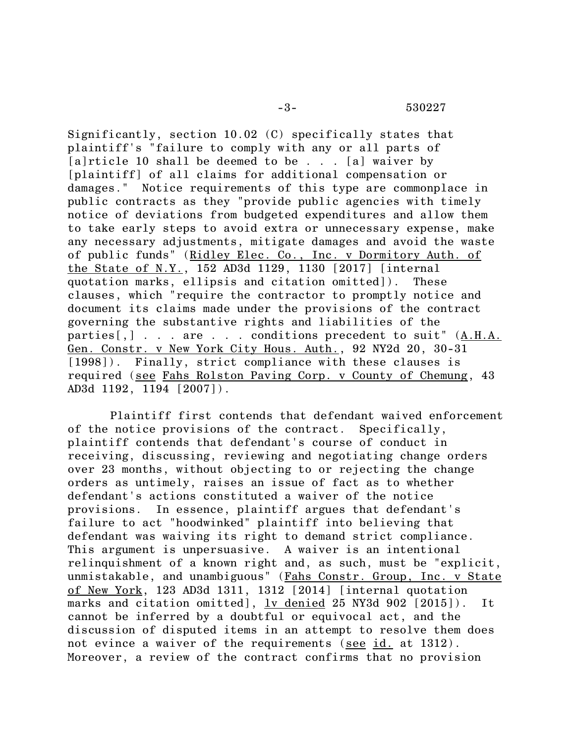-3- 530227

Significantly, section 10.02 (C) specifically states that plaintiff's "failure to comply with any or all parts of [a]rticle 10 shall be deemed to be . . . [a] waiver by [plaintiff] of all claims for additional compensation or damages." Notice requirements of this type are commonplace in public contracts as they "provide public agencies with timely notice of deviations from budgeted expenditures and allow them to take early steps to avoid extra or unnecessary expense, make any necessary adjustments, mitigate damages and avoid the waste of public funds" (Ridley Elec. Co., Inc. v Dormitory Auth. of the State of N.Y., 152 AD3d 1129, 1130 [2017] [internal quotation marks, ellipsis and citation omitted]). These clauses, which "require the contractor to promptly notice and document its claims made under the provisions of the contract governing the substantive rights and liabilities of the parties[,] . . . are . . . conditions precedent to suit" (A.H.A. Gen. Constr. v New York City Hous. Auth., 92 NY2d 20, 30-31 [1998]). Finally, strict compliance with these clauses is required (see Fahs Rolston Paving Corp. v County of Chemung, 43 AD3d 1192, 1194 [2007]).

Plaintiff first contends that defendant waived enforcement of the notice provisions of the contract. Specifically, plaintiff contends that defendant's course of conduct in receiving, discussing, reviewing and negotiating change orders over 23 months, without objecting to or rejecting the change orders as untimely, raises an issue of fact as to whether defendant's actions constituted a waiver of the notice provisions. In essence, plaintiff argues that defendant's failure to act "hoodwinked" plaintiff into believing that defendant was waiving its right to demand strict compliance. This argument is unpersuasive. A waiver is an intentional relinquishment of a known right and, as such, must be "explicit, unmistakable, and unambiguous" (Fahs Constr. Group, Inc. v State of New York, 123 AD3d 1311, 1312 [2014] [internal quotation marks and citation omitted],  $lv$  denied</u> 25 NY3d 902  $[2015]$ ). It cannot be inferred by a doubtful or equivocal act, and the discussion of disputed items in an attempt to resolve them does not evince a waiver of the requirements (see id. at 1312). Moreover, a review of the contract confirms that no provision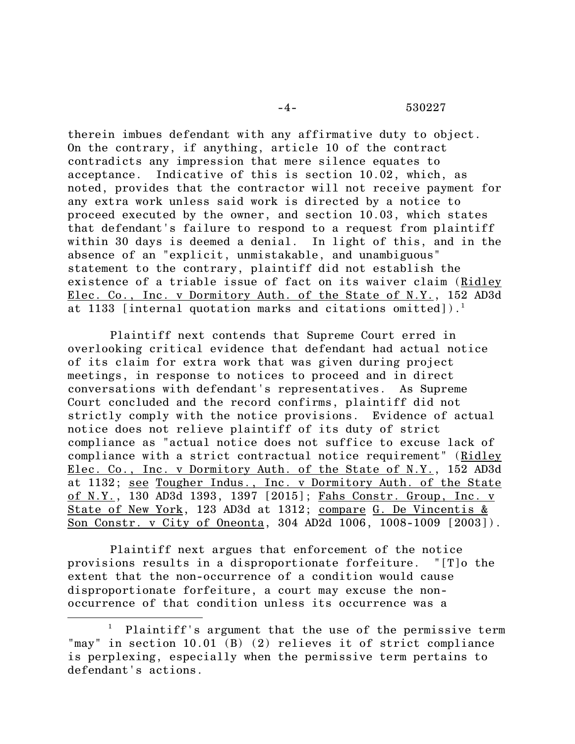therein imbues defendant with any affirmative duty to object. On the contrary, if anything, article 10 of the contract contradicts any impression that mere silence equates to acceptance. Indicative of this is section 10.02, which, as noted, provides that the contractor will not receive payment for any extra work unless said work is directed by a notice to proceed executed by the owner, and section 10.03, which states that defendant's failure to respond to a request from plaintiff within 30 days is deemed a denial. In light of this, and in the absence of an "explicit, unmistakable, and unambiguous" statement to the contrary, plaintiff did not establish the existence of a triable issue of fact on its waiver claim (Ridley Elec. Co., Inc. v Dormitory Auth. of the State of N.Y., 152 AD3d at 1133 [internal quotation marks and citations omitted]).<sup>1</sup>

Plaintiff next contends that Supreme Court erred in overlooking critical evidence that defendant had actual notice of its claim for extra work that was given during project meetings, in response to notices to proceed and in direct conversations with defendant's representatives. As Supreme Court concluded and the record confirms, plaintiff did not strictly comply with the notice provisions. Evidence of actual notice does not relieve plaintiff of its duty of strict compliance as "actual notice does not suffice to excuse lack of compliance with a strict contractual notice requirement" (Ridley Elec. Co., Inc. v Dormitory Auth. of the State of N.Y., 152 AD3d at 1132; see Tougher Indus., Inc. v Dormitory Auth. of the State of N.Y., 130 AD3d 1393, 1397 [2015]; Fahs Constr. Group, Inc. v State of New York, 123 AD3d at 1312; compare G. De Vincentis & Son Constr. v City of Oneonta, 304 AD2d 1006, 1008-1009 [2003]).

Plaintiff next argues that enforcement of the notice provisions results in a disproportionate forfeiture. "[T]o the extent that the non-occurrence of a condition would cause disproportionate forfeiture, a court may excuse the nonoccurrence of that condition unless its occurrence was a

Plaintiff's argument that the use of the permissive term "may" in section 10.01 (B) (2) relieves it of strict compliance is perplexing, especially when the permissive term pertains to defendant's actions.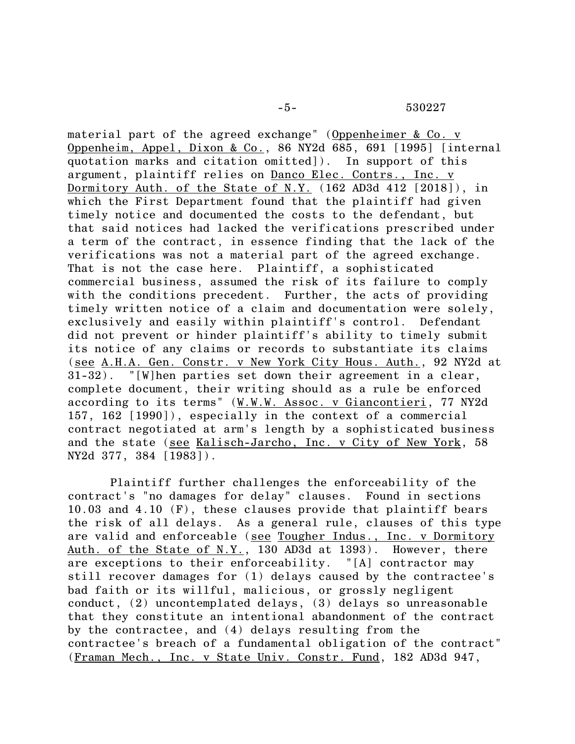material part of the agreed exchange" (Oppenheimer & Co. v Oppenheim, Appel, Dixon & Co., 86 NY2d 685, 691 [1995] [internal quotation marks and citation omitted]). In support of this argument, plaintiff relies on Danco Elec. Contrs., Inc. v Dormitory Auth. of the State of N.Y. (162 AD3d 412 [2018]), in which the First Department found that the plaintiff had given timely notice and documented the costs to the defendant, but that said notices had lacked the verifications prescribed under a term of the contract, in essence finding that the lack of the verifications was not a material part of the agreed exchange. That is not the case here. Plaintiff, a sophisticated commercial business, assumed the risk of its failure to comply with the conditions precedent. Further, the acts of providing timely written notice of a claim and documentation were solely, exclusively and easily within plaintiff's control. Defendant did not prevent or hinder plaintiff's ability to timely submit its notice of any claims or records to substantiate its claims (see A.H.A. Gen. Constr. v New York City Hous. Auth., 92 NY2d at 31-32). "[W]hen parties set down their agreement in a clear, complete document, their writing should as a rule be enforced according to its terms" (W.W.W. Assoc. v Giancontieri, 77 NY2d 157, 162 [1990]), especially in the context of a commercial contract negotiated at arm's length by a sophisticated business and the state (see Kalisch-Jarcho, Inc. v City of New York, 58 NY2d 377, 384 [1983]).

Plaintiff further challenges the enforceability of the contract's "no damages for delay" clauses. Found in sections 10.03 and 4.10 (F), these clauses provide that plaintiff bears the risk of all delays. As a general rule, clauses of this type are valid and enforceable (see Tougher Indus., Inc. v Dormitory Auth. of the State of N.Y., 130 AD3d at 1393). However, there are exceptions to their enforceability. "[A] contractor may still recover damages for (1) delays caused by the contractee's bad faith or its willful, malicious, or grossly negligent conduct, (2) uncontemplated delays, (3) delays so unreasonable that they constitute an intentional abandonment of the contract by the contractee, and (4) delays resulting from the contractee's breach of a fundamental obligation of the contract" (Framan Mech., Inc. v State Univ. Constr. Fund, 182 AD3d 947,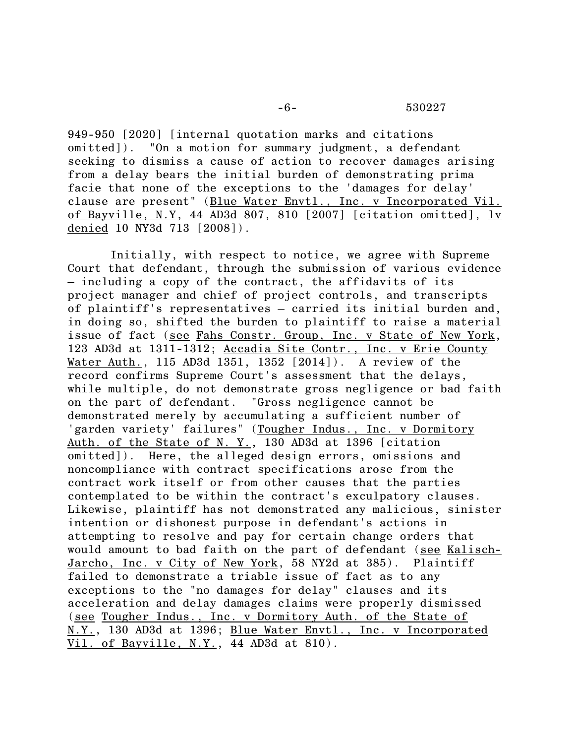949-950 [2020] [internal quotation marks and citations omitted]). "On a motion for summary judgment, a defendant seeking to dismiss a cause of action to recover damages arising from a delay bears the initial burden of demonstrating prima facie that none of the exceptions to the 'damages for delay' clause are present" (Blue Water Envtl., Inc. v Incorporated Vil. of Bayville, N.Y, 44 AD3d 807, 810 [2007] [citation omitted], lv denied 10 NY3d 713 [2008]).

Initially, with respect to notice, we agree with Supreme Court that defendant, through the submission of various evidence – including a copy of the contract, the affidavits of its project manager and chief of project controls, and transcripts of plaintiff's representatives – carried its initial burden and, in doing so, shifted the burden to plaintiff to raise a material issue of fact (see Fahs Constr. Group, Inc. v State of New York, 123 AD3d at 1311-1312; Accadia Site Contr., Inc. v Erie County Water Auth., 115 AD3d 1351, 1352 [2014]). A review of the record confirms Supreme Court's assessment that the delays, while multiple, do not demonstrate gross negligence or bad faith on the part of defendant. "Gross negligence cannot be demonstrated merely by accumulating a sufficient number of 'garden variety' failures" (Tougher Indus., Inc. v Dormitory Auth. of the State of N. Y., 130 AD3d at 1396 [citation omitted]). Here, the alleged design errors, omissions and noncompliance with contract specifications arose from the contract work itself or from other causes that the parties contemplated to be within the contract's exculpatory clauses. Likewise, plaintiff has not demonstrated any malicious, sinister intention or dishonest purpose in defendant's actions in attempting to resolve and pay for certain change orders that would amount to bad faith on the part of defendant (see Kalisch-Jarcho, Inc. v City of New York, 58 NY2d at 385). Plaintiff failed to demonstrate a triable issue of fact as to any exceptions to the "no damages for delay" clauses and its acceleration and delay damages claims were properly dismissed (see Tougher Indus., Inc. v Dormitory Auth. of the State of N.Y., 130 AD3d at 1396; Blue Water Envtl., Inc. v Incorporated Vil. of Bayville, N.Y., 44 AD3d at 810).